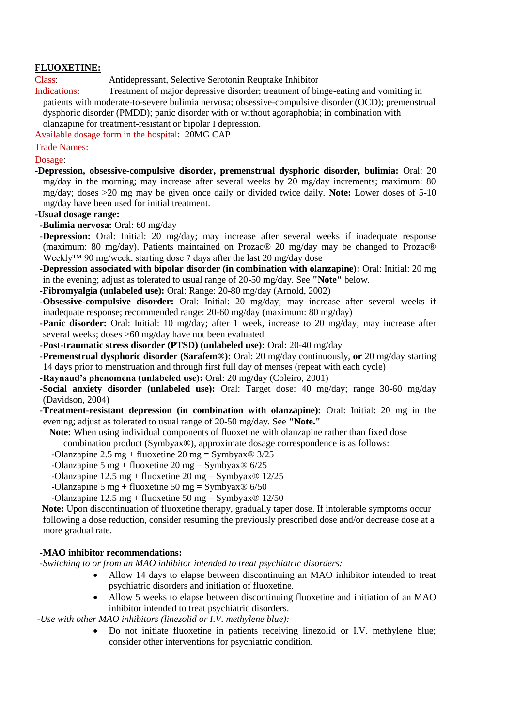# **FLUOXETINE:**

Class: Antidepressant, Selective Serotonin Reuptake Inhibitor

Indications: Treatment of major depressive disorder; treatment of binge-eating and vomiting in patients with moderate-to-severe bulimia nervosa; obsessive-compulsive disorder (OCD); premenstrual dysphoric disorder (PMDD); panic disorder with or without agoraphobia; in combination with olanzapine for treatment-resistant or bipolar I depression.

Available dosage form in the hospital: 20MG CAP

Trade Names:

#### Dosage:

**-Depression, obsessive-compulsive disorder, premenstrual dysphoric disorder, bulimia:** Oral: 20 mg/day in the morning; may increase after several weeks by 20 mg/day increments; maximum: 80 mg/day; doses >20 mg may be given once daily or divided twice daily. **Note:** Lower doses of 5-10 mg/day have been used for initial treatment.

# **-Usual dosage range:**

- **-Bulimia nervosa:** Oral: 60 mg/day
- **-Depression:** Oral: Initial: 20 mg/day; may increase after several weeks if inadequate response (maximum: 80 mg/day). Patients maintained on Prozac® 20 mg/day may be changed to Prozac® Weekly™ 90 mg/week, starting dose 7 days after the last 20 mg/day dose
- **-Depression associated with bipolar disorder (in combination with olanzapine):** Oral: Initial: 20 mg in the evening; adjust as tolerated to usual range of 20-50 mg/day. See **"Note"** below.
- **-Fibromyalgia (unlabeled use):** Oral: Range: 20-80 mg/day (Arnold, 2002)
- **-Obsessive-compulsive disorder:** Oral: Initial: 20 mg/day; may increase after several weeks if inadequate response; recommended range: 20-60 mg/day (maximum: 80 mg/day)
- **-Panic disorder:** Oral: Initial: 10 mg/day; after 1 week, increase to 20 mg/day; may increase after several weeks; doses >60 mg/day have not been evaluated
- **-Post-traumatic stress disorder (PTSD) (unlabeled use):** Oral: 20-40 mg/day
- **-Premenstrual dysphoric disorder (Sarafem®):** Oral: 20 mg/day continuously, **or** 20 mg/day starting 14 days prior to menstruation and through first full day of menses (repeat with each cycle)
- **-Raynaud's phenomena (unlabeled use):** Oral: 20 mg/day (Coleiro, 2001)
- **-Social anxiety disorder (unlabeled use):** Oral: Target dose: 40 mg/day; range 30-60 mg/day (Davidson, 2004)
- **-Treatment-resistant depression (in combination with olanzapine):** Oral: Initial: 20 mg in the evening; adjust as tolerated to usual range of 20-50 mg/day. See **"Note."**
- **Note:** When using individual components of fluoxetine with olanzapine rather than fixed dose combination product (Symbyax®), approximate dosage correspondence is as follows:
	- -Olanzapine 2.5 mg + fluoxetine 20 mg = Symbyax $\otimes$  3/25
	- -Olanzapine 5 mg + fluoxetine 20 mg = Symbyax $\otimes$  6/25
	- -Olanzapine  $12.5 \text{ mg} + \text{fluoxetime } 20 \text{ mg} = \text{Symbyax} \otimes 12/25$
	- -Olanzapine 5 mg + fluoxetine 50 mg = Symbyax $\otimes$  6/50
	- -Olanzapine  $12.5 \text{ mg} + \text{fluoxetime } 50 \text{ mg} = \text{Symbyax} \otimes 12/50$

 **Note:** Upon discontinuation of fluoxetine therapy, gradually taper dose. If intolerable symptoms occur following a dose reduction, consider resuming the previously prescribed dose and/or decrease dose at a more gradual rate.

# **-MAO inhibitor recommendations:**

 *-Switching to or from an MAO inhibitor intended to treat psychiatric disorders:*

- Allow 14 days to elapse between discontinuing an MAO inhibitor intended to treat psychiatric disorders and initiation of fluoxetine.
- Allow 5 weeks to elapse between discontinuing fluoxetine and initiation of an MAO inhibitor intended to treat psychiatric disorders.

*-Use with other MAO inhibitors (linezolid or I.V. methylene blue):* 

 Do not initiate fluoxetine in patients receiving linezolid or I.V. methylene blue; consider other interventions for psychiatric condition.